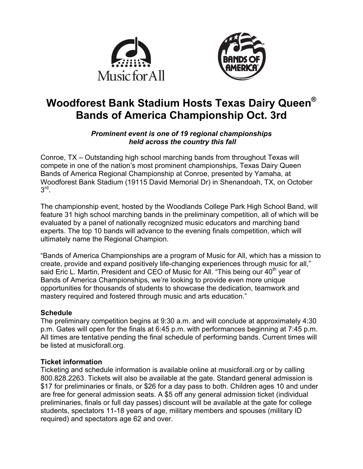



# **Woodforest Bank Stadium Hosts Texas Dairy Queen® Bands of America Championship Oct. 3rd**

#### *Prominent event is one of 19 regional championships held across the country this fall*

Conroe, TX – Outstanding high school marching bands from throughout Texas will compete in one of the nation's most prominent championships, Texas Dairy Queen Bands of America Regional Championship at Conroe, presented by Yamaha, at Woodforest Bank Stadium (19115 David Memorial Dr) in Shenandoah, TX, on October  $3^{\text{rd}}$ .

The championship event, hosted by the Woodlands College Park High School Band, will feature 31 high school marching bands in the preliminary competition, all of which will be evaluated by a panel of nationally recognized music educators and marching band experts. The top 10 bands will advance to the evening finals competition, which will ultimately name the Regional Champion.

"Bands of America Championships are a program of Music for All, which has a mission to create, provide and expand positively life-changing experiences through music for all," said Eric L. Martin, President and CEO of Music for All. "This being our 40<sup>th</sup> year of Bands of America Championships, we're looking to provide even more unique opportunities for thousands of students to showcase the dedication, teamwork and mastery required and fostered through music and arts education."

# **Schedule**

The preliminary competition begins at 9:30 a.m. and will conclude at approximately 4:30 p.m. Gates will open for the finals at 6:45 p.m. with performances beginning at 7:45 p.m. All times are tentative pending the final schedule of performing bands. Current times will be listed at musicforall.org.

# **Ticket information**

Ticketing and schedule information is available online at musicforall.org or by calling 800.828.2263. Tickets will also be available at the gate. Standard general admission is \$17 for preliminaries or finals, or \$26 for a day pass to both. Children ages 10 and under are free for general admission seats. A \$5 off any general admission ticket (individual preliminaries, finals or full day passes) discount will be available at the gate for college students, spectators 11-18 years of age, military members and spouses (military ID required) and spectators age 62 and over.